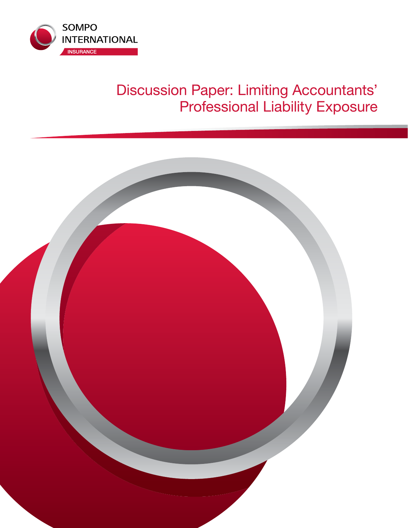

# Discussion Paper: Limiting Accountants' Professional Liability Exposure

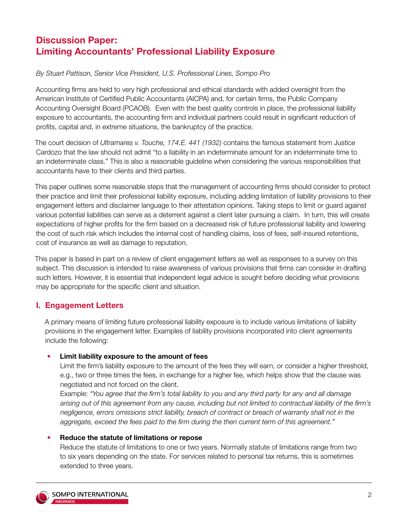## **Discussion Paper: Limiting Accountants' Professional Liability Exposure**

### *By Stuart Pattison, Senior Vice President, U.S. Professional Lines, Sompo Pro*

Accounting firms are held to very high professional and ethical standards with added oversight from the American Institute of Certified Public Accountants (AICPA) and, for certain firms, the Public Company Accounting Oversight Board (PCAOB). Even with the best quality controls in place, the professional liability exposure to accountants, the accounting firm and individual partners could result in significant reduction of profits, capital and, in extreme situations, the bankruptcy of the practice.

The court decision of *Ultramares v. Touche, 174.E. 441 (1932)* contains the famous statement from Justice Cardozo that the law should not admit "to a liability in an indeterminate amount for an indeterminate time to an indeterminate class." This is also a reasonable guideline when considering the various responsibilities that accountants have to their clients and third parties.

This paper outlines some reasonable steps that the management of accounting firms should consider to protect their practice and limit their professional liability exposure, including adding limitation of liability provisions to their engagement letters and disclaimer language to their attestation opinions. Taking steps to limit or guard against various potential liabilities can serve as a deterrent against a client later pursuing a claim. In turn, this will create expectations of higher profits for the firm based on a decreased risk of future professional liability and lowering the cost of such risk which includes the internal cost of handling claims, loss of fees, self-insured retentions, cost of insurance as well as damage to reputation.

This paper is based in part on a review of client engagement letters as well as responses to a survey on this subject. This discussion is intended to raise awareness of various provisions that firms can consider in drafting such letters. However, it is essential that independent legal advice is sought before deciding what provisions may be appropriate for the specific client and situation.

## **I. Engagement Letters**

A primary means of limiting future professional liability exposure is to include various limitations of liability provisions in the engagement letter. Examples of liability provisions incorporated into client agreements include the following:

#### • **Limit liability exposure to the amount of fees**

Limit the firm's liability exposure to the amount of the fees they will earn, or consider a higher threshold, e.g., two or three times the fees, in exchange for a higher fee, which helps show that the clause was negotiated and not forced on the client.

Example: *"You agree that the firm's total liability to you and any third party for any and all damage arising out of this agreement from any cause, including but not limited to contractual liability of the firm's negligence, errors omissions strict liability, breach of contract or breach of warranty shall not in the aggregate, exceed the fees paid to the firm during the then current term of this agreement."*

#### • **Reduce the statute of limitations or repose**

Reduce the statute of limitations to one or two years. Normally statute of limitations range from two to six years depending on the state. For services related to personal tax returns, this is sometimes extended to three years.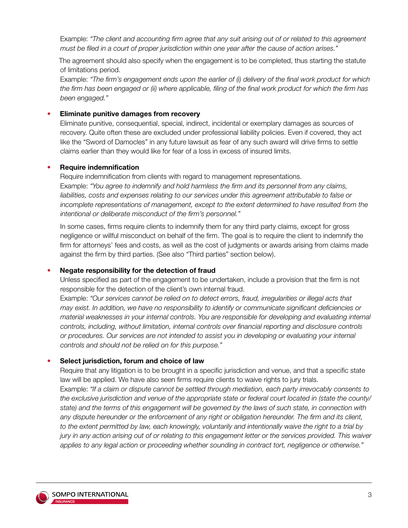Example: *"The client and accounting firm agree that any suit arising out of or related to this agreement must be filed in a court of proper jurisdiction within one year after the cause of action arises."* 

The agreement should also specify when the engagement is to be completed, thus starting the statute of limitations period.

Example: *"The firm's engagement ends upon the earlier of (i) delivery of the final work product for which the firm has been engaged or (ii) where applicable, filing of the final work product for which the firm has been engaged."*

#### • **Eliminate punitive damages from recovery**

Eliminate punitive, consequential, special, indirect, incidental or exemplary damages as sources of recovery. Quite often these are excluded under professional liability policies. Even if covered, they act like the "Sword of Damocles" in any future lawsuit as fear of any such award will drive firms to settle claims earlier than they would like for fear of a loss in excess of insured limits.

#### • **Require indemnification**

Require indemnification from clients with regard to management representations. Example: *"You agree to indemnify and hold harmless the firm and its personnel from any claims, liabilities, costs and expenses relating to our services under this agreement attributable to false or*  incomplete representations of management, except to the extent determined to have resulted from the *intentional or deliberate misconduct of the firm's personnel."*

In some cases, firms require clients to indemnify them for any third party claims, except for gross negligence or willful misconduct on behalf of the firm. The goal is to require the client to indemnify the firm for attorneys' fees and costs, as well as the cost of judgments or awards arising from claims made against the firm by third parties. (See also "Third parties" section below).

#### • **Negate responsibility for the detection of fraud**

Unless specified as part of the engagement to be undertaken, include a provision that the firm is not responsible for the detection of the client's own internal fraud.

Example: *"Our services cannot be relied on to detect errors, fraud, irregularities or illegal acts that may exist. In addition, we have no responsibility to identify or communicate significant deficiencies or material weaknesses in your internal controls. You are responsible for developing and evaluating internal controls, including, without limitation, internal controls over financial reporting and disclosure controls or procedures. Our services are not intended to assist you in developing or evaluating your internal controls and should not be relied on for this purpose."*

#### • **Select jurisdiction, forum and choice of law**

Require that any litigation is to be brought in a specific jurisdiction and venue, and that a specific state law will be applied. We have also seen firms require clients to waive rights to jury trials. Example: *"If a claim or dispute cannot be settled through mediation, each party irrevocably consents to the exclusive jurisdiction and venue of the appropriate state or federal court located in (state the county/ state) and the terms of this engagement will be governed by the laws of such state, in connection with*  any dispute hereunder or the enforcement of any right or obligation hereunder. The firm and its client, *to the extent permitted by law, each knowingly, voluntarily and intentionally waive the right to a trial by jury in any action arising out of or relating to this engagement letter or the services provided. This waiver applies to any legal action or proceeding whether sounding in contract tort, negligence or otherwise."*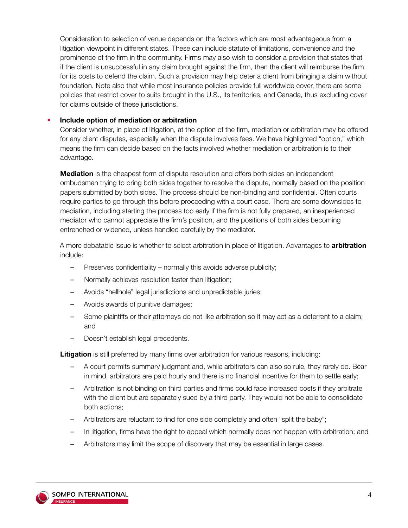Consideration to selection of venue depends on the factors which are most advantageous from a litigation viewpoint in different states. These can include statute of limitations, convenience and the prominence of the firm in the community. Firms may also wish to consider a provision that states that if the client is unsuccessful in any claim brought against the firm, then the client will reimburse the firm for its costs to defend the claim. Such a provision may help deter a client from bringing a claim without foundation. Note also that while most insurance policies provide full worldwide cover, there are some policies that restrict cover to suits brought in the U.S., its territories, and Canada, thus excluding cover for claims outside of these jurisdictions.

#### • **Include option of mediation or arbitration**

Consider whether, in place of litigation, at the option of the firm, mediation or arbitration may be offered for any client disputes, especially when the dispute involves fees. We have highlighted "option," which means the firm can decide based on the facts involved whether mediation or arbitration is to their advantage.

**Mediation** is the cheapest form of dispute resolution and offers both sides an independent ombudsman trying to bring both sides together to resolve the dispute, normally based on the position papers submitted by both sides. The process should be non-binding and confidential. Often courts require parties to go through this before proceeding with a court case. There are some downsides to mediation, including starting the process too early if the firm is not fully prepared, an inexperienced mediator who cannot appreciate the firm's position, and the positions of both sides becoming entrenched or widened, unless handled carefully by the mediator.

A more debatable issue is whether to select arbitration in place of litigation. Advantages to **arbitration** include:

- Preserves confidentiality normally this avoids adverse publicity;
- Normally achieves resolution faster than litigation;
- Avoids "hellhole" legal jurisdictions and unpredictable juries;
- Avoids awards of punitive damages;
- Some plaintiffs or their attorneys do not like arbitration so it may act as a deterrent to a claim; and
- Doesn't establish legal precedents.

**Litigation** is still preferred by many firms over arbitration for various reasons, including:

- A court permits summary judgment and, while arbitrators can also so rule, they rarely do. Bear in mind, arbitrators are paid hourly and there is no financial incentive for them to settle early;
- Arbitration is not binding on third parties and firms could face increased costs if they arbitrate with the client but are separately sued by a third party. They would not be able to consolidate both actions;
- Arbitrators are reluctant to find for one side completely and often "split the baby";
- In litigation, firms have the right to appeal which normally does not happen with arbitration; and
- Arbitrators may limit the scope of discovery that may be essential in large cases.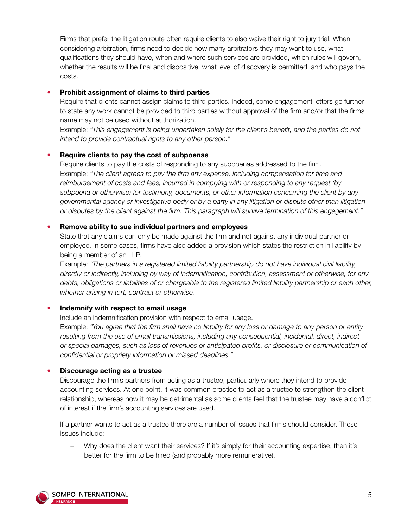Firms that prefer the litigation route often require clients to also waive their right to jury trial. When considering arbitration, firms need to decide how many arbitrators they may want to use, what qualifications they should have, when and where such services are provided, which rules will govern, whether the results will be final and dispositive, what level of discovery is permitted, and who pays the costs.

#### • **Prohibit assignment of claims to third parties**

Require that clients cannot assign claims to third parties. Indeed, some engagement letters go further to state any work cannot be provided to third parties without approval of the firm and/or that the firms name may not be used without authorization.

Example: *"This engagement is being undertaken solely for the client's benefit, and the parties do not intend to provide contractual rights to any other person."*

#### • **Require clients to pay the cost of subpoenas**

Require clients to pay the costs of responding to any subpoenas addressed to the firm. Example: *"The client agrees to pay the firm any expense, including compensation for time and reimbursement of costs and fees, incurred in complying with or responding to any request (by subpoena or otherwise) for testimony, documents, or other information concerning the client by any governmental agency or investigative body or by a party in any litigation or dispute other than litigation or disputes by the client against the firm. This paragraph will survive termination of this engagement."*

#### • **Remove ability to sue individual partners and employees**

State that any claims can only be made against the firm and not against any individual partner or employee. In some cases, firms have also added a provision which states the restriction in liability by being a member of an LLP.

Example: *"The partners in a registered limited liability partnership do not have individual civil liability, directly or indirectly, including by way of indemnification, contribution, assessment or otherwise, for any*  debts, obligations or liabilities of or chargeable to the registered limited liability partnership or each other, *whether arising in tort, contract or otherwise."* 

#### • **Indemnify with respect to email usage**

Include an indemnification provision with respect to email usage.

Example: *"You agree that the firm shall have no liability for any loss or damage to any person or entity resulting from the use of email transmissions, including any consequential, incidental, direct, indirect or special damages, such as loss of revenues or anticipated profits, or disclosure or communication of confidential or propriety information or missed deadlines."*

#### • **Discourage acting as a trustee**

Discourage the firm's partners from acting as a trustee, particularly where they intend to provide accounting services. At one point, it was common practice to act as a trustee to strengthen the client relationship, whereas now it may be detrimental as some clients feel that the trustee may have a conflict of interest if the firm's accounting services are used.

If a partner wants to act as a trustee there are a number of issues that firms should consider. These issues include:

– Why does the client want their services? If it's simply for their accounting expertise, then it's better for the firm to be hired (and probably more remunerative).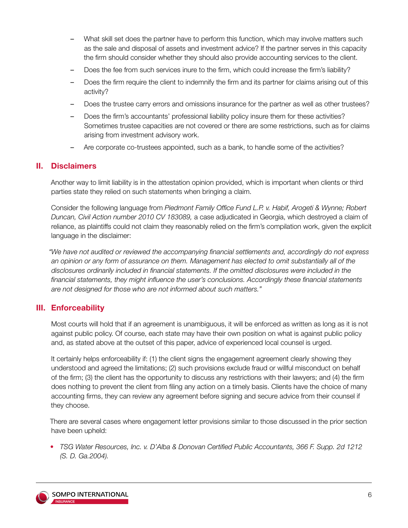- What skill set does the partner have to perform this function, which may involve matters such as the sale and disposal of assets and investment advice? If the partner serves in this capacity the firm should consider whether they should also provide accounting services to the client.
- Does the fee from such services inure to the firm, which could increase the firm's liability?
- Does the firm require the client to indemnify the firm and its partner for claims arising out of this activity?
- Does the trustee carry errors and omissions insurance for the partner as well as other trustees?
- Does the firm's accountants' professional liability policy insure them for these activities? Sometimes trustee capacities are not covered or there are some restrictions, such as for claims arising from investment advisory work.
- Are corporate co-trustees appointed, such as a bank, to handle some of the activities?

#### **II. Disclaimers**

Another way to limit liability is in the attestation opinion provided, which is important when clients or third parties state they relied on such statements when bringing a claim.

Consider the following language from *Piedmont Family Office Fund L.P. v. Habif, Arogeti & Wynne; Robert Duncan, Civil Action number 2010 CV 183089,* a case adjudicated in Georgia, which destroyed a claim of reliance, as plaintiffs could not claim they reasonably relied on the firm's compilation work, given the explicit language in the disclaimer:

*"We have not audited or reviewed the accompanying financial settlements and, accordingly do not express an opinion or any form of assurance on them. Management has elected to omit substantially all of the disclosures ordinarily included in financial statements. If the omitted disclosures were included in the financial statements, they might influence the user's conclusions. Accordingly these financial statements are not designed for those who are not informed about such matters."*

## **III. Enforceability**

Most courts will hold that if an agreement is unambiguous, it will be enforced as written as long as it is not against public policy. Of course, each state may have their own position on what is against public policy and, as stated above at the outset of this paper, advice of experienced local counsel is urged.

It certainly helps enforceability if: (1) the client signs the engagement agreement clearly showing they understood and agreed the limitations; (2) such provisions exclude fraud or willful misconduct on behalf of the firm; (3) the client has the opportunity to discuss any restrictions with their lawyers; and (4) the firm does nothing to prevent the client from filing any action on a timely basis. Clients have the choice of many accounting firms, they can review any agreement before signing and secure advice from their counsel if they choose.

There are several cases where engagement letter provisions similar to those discussed in the prior section have been upheld:

• *TSG Water Resources, Inc. v. D'Alba & Donovan Certified Public Accountants, 366 F. Supp. 2d 1212 (S. D. Ga.2004).*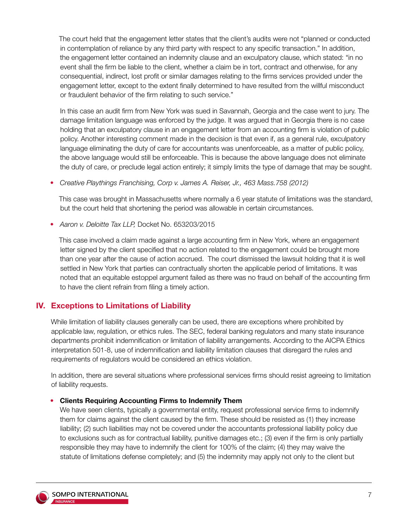The court held that the engagement letter states that the client's audits were not "planned or conducted in contemplation of reliance by any third party with respect to any specific transaction." In addition, the engagement letter contained an indemnity clause and an exculpatory clause, which stated: "in no event shall the firm be liable to the client, whether a claim be in tort, contract and otherwise, for any consequential, indirect, lost profit or similar damages relating to the firms services provided under the engagement letter, except to the extent finally determined to have resulted from the willful misconduct or fraudulent behavior of the firm relating to such service."

In this case an audit firm from New York was sued in Savannah, Georgia and the case went to jury. The damage limitation language was enforced by the judge. It was argued that in Georgia there is no case holding that an exculpatory clause in an engagement letter from an accounting firm is violation of public policy. Another interesting comment made in the decision is that even if, as a general rule, exculpatory language eliminating the duty of care for accountants was unenforceable, as a matter of public policy, the above language would still be enforceable. This is because the above language does not eliminate the duty of care, or preclude legal action entirely; it simply limits the type of damage that may be sought.

• *Creative Playthings Franchising, Corp v. James A. Reiser, Jr., 463 Mass.758 (2012)* 

This case was brought in Massachusetts where normally a 6 year statute of limitations was the standard, but the court held that shortening the period was allowable in certain circumstances.

• *Aaron v. Deloitte Tax LLP,* Docket No. 653203/2015

This case involved a claim made against a large accounting firm in New York, where an engagement letter signed by the client specified that no action related to the engagement could be brought more than one year after the cause of action accrued. The court dismissed the lawsuit holding that it is well settled in New York that parties can contractually shorten the applicable period of limitations. It was noted that an equitable estoppel argument failed as there was no fraud on behalf of the accounting firm to have the client refrain from filing a timely action.

## **IV. Exceptions to Limitations of Liability**

While limitation of liability clauses generally can be used, there are exceptions where prohibited by applicable law, regulation, or ethics rules. The SEC, federal banking regulators and many state insurance departments prohibit indemnification or limitation of liability arrangements. According to the AICPA Ethics interpretation 501-8, use of indemnification and liability limitation clauses that disregard the rules and requirements of regulators would be considered an ethics violation.

In addition, there are several situations where professional services firms should resist agreeing to limitation of liability requests.

## • **Clients Requiring Accounting Firms to Indemnify Them**

We have seen clients, typically a governmental entity, request professional service firms to indemnify them for claims against the client caused by the firm. These should be resisted as (1) they increase liability; (2) such liabilities may not be covered under the accountants professional liability policy due to exclusions such as for contractual liability, punitive damages etc.; (3) even if the firm is only partially responsible they may have to indemnify the client for 100% of the claim; (4) they may waive the statute of limitations defense completely; and (5) the indemnity may apply not only to the client but